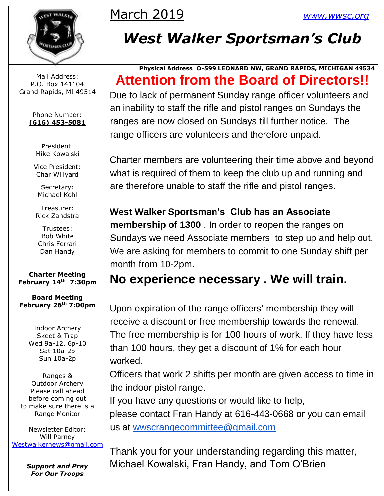

Mail Address: P.O. Box 141104 Grand Rapids, MI 49514

> Phone Number: **(616) 453-5081**

President: Mike Kowalski

Vice President: Char Willyard

Secretary: Michael Kohl

Treasurer: Rick Zandstra

Trustees: Bob White Chris Ferrari Dan Handy

**Charter Meeting February 14th 7:30pm**

**Board Meeting February 26th 7:00pm**

> Indoor Archery Skeet & Trap Wed 9a-12, 6p-10 Sat 10a-2p Sun 10a-2p

Ranges & Outdoor Archery Please call ahead before coming out to make sure there is a Range Monitor

Newsletter Editor: Will Parney [Westwalkernews@gmail.com](mailto:Westwalkernews@gmail.com)

> *Support and Pray For Our Troops*

## March 2019 *[www.wwsc.org](http://www.wwsc.org/)*

## *West Walker Sportsman's Club*

#### **Physical Address O-599 LEONARD NW, GRAND RAPIDS, MICHIGAN 49534 Attention from the Board of Directors!!**

Due to lack of permanent Sunday range officer volunteers and an inability to staff the rifle and pistol ranges on Sundays the ranges are now closed on Sundays till further notice. The range officers are volunteers and therefore unpaid.

Charter members are volunteering their time above and beyond what is required of them to keep the club up and running and are therefore unable to staff the rifle and pistol ranges.

## **West Walker Sportsman's Club has an Associate**

**membership of 1300** . In order to reopen the ranges on Sundays we need Associate members to step up and help out. We are asking for members to commit to one Sunday shift per month from 10-2pm.

## **No experience necessary . We will train.**

Upon expiration of the range officers' membership they will receive a discount or free membership towards the renewal. The free membership is for 100 hours of work. If they have less than 100 hours, they get a discount of 1% for each hour worked.

Officers that work 2 shifts per month are given access to time in the indoor pistol range.

If you have any questions or would like to help, please contact Fran Handy at 616-443-0668 or you can email us at wwscrangecommittee@gmail.com

Thank you for your understanding regarding this matter, Michael Kowalski, Fran Handy, and Tom O'Brien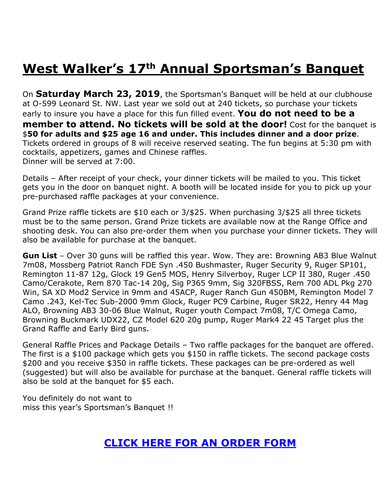## **West Walker's 17th Annual Sportsman's Banquet**

On **Saturday March 23, 2019**, the Sportsman's Banquet will be held at our clubhouse at O-599 Leonard St. NW. Last year we sold out at 240 tickets, so purchase your tickets early to insure you have a place for this fun filled event. **You do not need to be a member to attend. No tickets will be sold at the door!** Cost for the banquet is \$**50 for adults and \$25 age 16 and under. This includes dinner and a door prize**. Tickets ordered in groups of 8 will receive reserved seating. The fun begins at 5:30 pm with cocktails, appetizers, games and Chinese raffles. Dinner will be served at 7:00.

Details – After receipt of your check, your dinner tickets will be mailed to you. This ticket gets you in the door on banquet night. A booth will be located inside for you to pick up your pre-purchased raffle packages at your convenience.

Grand Prize raffle tickets are \$10 each or 3/\$25. When purchasing 3/\$25 all three tickets must be to the same person. Grand Prize tickets are available now at the Range Office and shooting desk. You can also pre-order them when you purchase your dinner tickets. They will also be available for purchase at the banquet.

**Gun List** – Over 30 guns will be raffled this year. Wow. They are: Browning AB3 Blue Walnut 7m08, Mossberg Patriot Ranch FDE Syn .450 Bushmaster, Ruger Security 9, Ruger SP101, Remington 11-87 12g, Glock 19 Gen5 MOS, Henry Silverboy, Ruger LCP II 380, Ruger .450 Camo/Cerakote, Rem 870 Tac-14 20g, Sig P365 9mm, Sig 320FBSS, Rem 700 ADL Pkg 270 Win, SA XD Mod2 Service in 9mm and 45ACP, Ruger Ranch Gun 450BM, Remington Model 7 Camo .243, Kel-Tec Sub-2000 9mm Glock, Ruger PC9 Carbine, Ruger SR22, Henry 44 Mag ALO, Browning AB3 30-06 Blue Walnut, Ruger youth Compact 7m08, T/C Omega Camo, Browning Buckmark UDX22, CZ Model 620 20g pump, Ruger Mark4 22 45 Target plus the Grand Raffle and Early Bird guns.

General Raffle Prices and Package Details – Two raffle packages for the banquet are offered. The first is a \$100 package which gets you \$150 in raffle tickets. The second package costs \$200 and you receive \$350 in raffle tickets. These packages can be pre-ordered as well (suggested) but will also be available for purchase at the banquet. General raffle tickets will also be sold at the banquet for \$5 each.

You definitely do not want to miss this year's Sportsman's Banquet !!

#### **[CLICK HERE FOR AN ORDER FORM](http://www.wwsc.org/img/archives/2019/2019SBOrderForm.pdf)**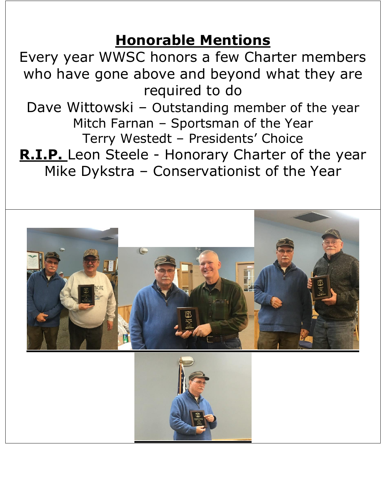## **Honorable Mentions**

Every year WWSC honors a few Charter members who have gone above and beyond what they are required to do

Dave Wittowski – Outstanding member of the year Mitch Farnan – Sportsman of the Year Terry Westedt – Presidents' Choice

**R.I.P.** Leon Steele - Honorary Charter of the year Mike Dykstra – Conservationist of the Year

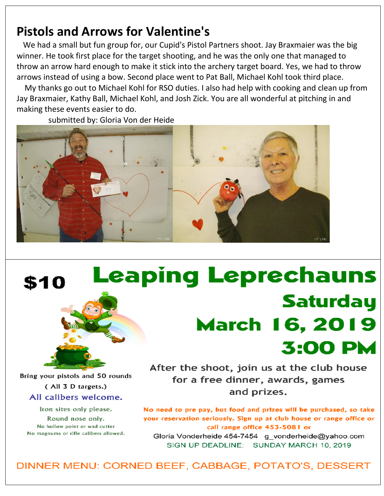### **Pistols and Arrows for Valentine's**

We had a small but fun group for, our Cupid's Pistol Partners shoot. Jay Braxmaier was the big winner. He took first place for the target shooting, and he was the only one that managed to throw an arrow hard enough to make it stick into the archery target board. Yes, we had to throw arrows instead of using a bow. Second place went to Pat Ball, Michael Kohl took third place.

My thanks go out to Michael Kohl for RSO duties. I also had help with cooking and clean up from Jay Braxmaier, Kathy Ball, Michael Kohl, and Josh Zick. You are all wonderful at pitching in and making these events easier to do.

submitted by: Gloria Von der Heide



# **Leaping Leprechauns** Saturday **March 16, 2019 3:00 PM**

Bring your pistols and 50 rounds (All 3 D targets.) All calibers welcome. Iron sites only please.

\$10

Round nose only. No hollow point or wad cutter No magnums or rifle calibers allowed. After the shoot, join us at the club house for a free dinner, awards, games and prizes.

No need to pre pay, but food and prizes will be purchased, so take your reservation seriously. Sign up at club house or range office or call range office 453-5081 or Gloria Vonderheide 454-7454 g vonderheide@yahoo.com

SIGN UP DEADLINE: SUNDAY MARCH 10, 2019

DINNER MENU: CORNED BEEF, CABBAGE, POTATO'S, DESSERT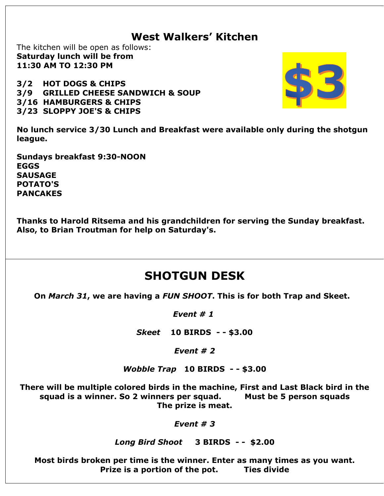#### **West Walkers' Kitchen**

The kitchen will be open as follows: **Saturday lunch will be from 11:30 AM TO 12:30 PM**

**3/2 HOT DOGS & CHIPS 3/9 GRILLED CHEESE SANDWICH & SOUP 3/16 HAMBURGERS & CHIPS 3/23 SLOPPY JOE'S & CHIPS**



**No lunch service 3/30 Lunch and Breakfast were available only during the shotgun league.** 

**Sundays breakfast 9:30-NOON EGGS SAUSAGE POTATO'S PANCAKES**

**Thanks to Harold Ritsema and his grandchildren for serving the Sunday breakfast. Also, to Brian Troutman for help on Saturday's.**

#### **SHOTGUN DESK**

**On** *March 31***, we are having a** *FUN SHOOT***. This is for both Trap and Skeet.** 

*Event # 1*

*Skeet* **10 BIRDS - - \$3.00**

*Event # 2*

*Wobble Trap* **10 BIRDS - - \$3.00**

**There will be multiple colored birds in the machine, First and Last Black bird in the squad is a winner. So 2 winners per squad. Must be 5 person squads The prize is meat.**

*Event # 3*

#### *Long Bird Shoot* **3 BIRDS - - \$2.00**

**Most birds broken per time is the winner. Enter as many times as you want. Prize is a portion of the pot. Ties divide**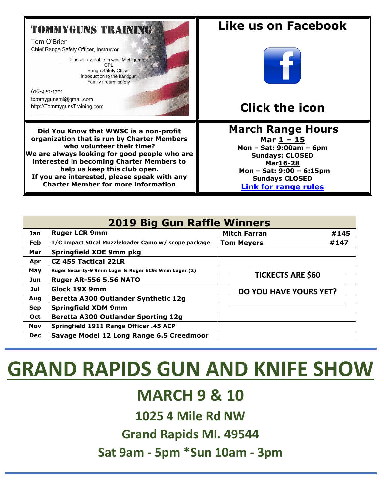#### **TOMMYGUNS TRAINING**

Tom O'Brien Chief Range Safety Officer, Instructor

> Classes available in west Michigan for: CPL Range Safety Officer Introduction to the handgun Family firearm safety

616-920-1701 tommygunsmi@gmail.com http://TommygunsTraining.com

**Did You Know that WWSC is a non-profit organization that is run by Charter Members who volunteer their time? We are always looking for good people who are interested in becoming Charter Members to help us keep this club open. If you are interested, please speak with any Charter Member for more information**

#### **Like us on Facebook**



### **Click the icon**

#### **March [Ra](https://creativecommons.org/licenses/by-sa/3.0/)nge Hours Mar 1 – 15 Mon – Sat: 9:00am – 6pm Sundays: CLOSED Mar16-28 Mon – Sat: 9:00 – 6:15pm Sundays CLOSED [Link for range rules](http://www.wwsc.org/img/ranges/RangeRules.pdf)**

| <b>2019 Big Gun Raffle Winners</b> |                                                       |                     |                               |      |  |  |  |  |  |
|------------------------------------|-------------------------------------------------------|---------------------|-------------------------------|------|--|--|--|--|--|
| Jan                                | <b>Ruger LCR 9mm</b>                                  | <b>Mitch Farran</b> |                               | #145 |  |  |  |  |  |
| <b>Feb</b>                         | T/C Impact 50cal Muzzleloader Camo w/ scope package   | <b>Tom Meyers</b>   |                               | #147 |  |  |  |  |  |
| Mar                                | <b>Springfield XDE 9mm pkg</b>                        |                     |                               |      |  |  |  |  |  |
| Apr                                | <b>CZ 455 Tactical 22LR</b>                           |                     |                               |      |  |  |  |  |  |
| May                                | Ruger Security-9 9mm Luger & Ruger EC9s 9mm Luger (2) |                     | <b>TICKECTS ARE \$60</b>      |      |  |  |  |  |  |
| Jun                                | <b>Ruger AR-556 5.56 NATO</b>                         |                     |                               |      |  |  |  |  |  |
| Jul                                | Glock 19X 9mm                                         |                     | <b>DO YOU HAVE YOURS YET?</b> |      |  |  |  |  |  |
| Aug                                | Beretta A300 Outlander Synthetic 12g                  |                     |                               |      |  |  |  |  |  |
| <b>Sep</b>                         | <b>Springfield XDM 9mm</b>                            |                     |                               |      |  |  |  |  |  |
| <b>Oct</b>                         | <b>Beretta A300 Outlander Sporting 12g</b>            |                     |                               |      |  |  |  |  |  |
| Nov                                | Springfield 1911 Range Officer .45 ACP                |                     |                               |      |  |  |  |  |  |
| <b>Dec</b>                         | Savage Model 12 Long Range 6.5 Creedmoor              |                     |                               |      |  |  |  |  |  |

# **GRAND RAPIDS GUN AND KNIFE SHOW**

## **MARCH 9 & 10**

**1025 4 Mile Rd NW**

**Grand Rapids MI. 49544**

**Sat 9am - 5pm \*Sun 10am - 3pm**